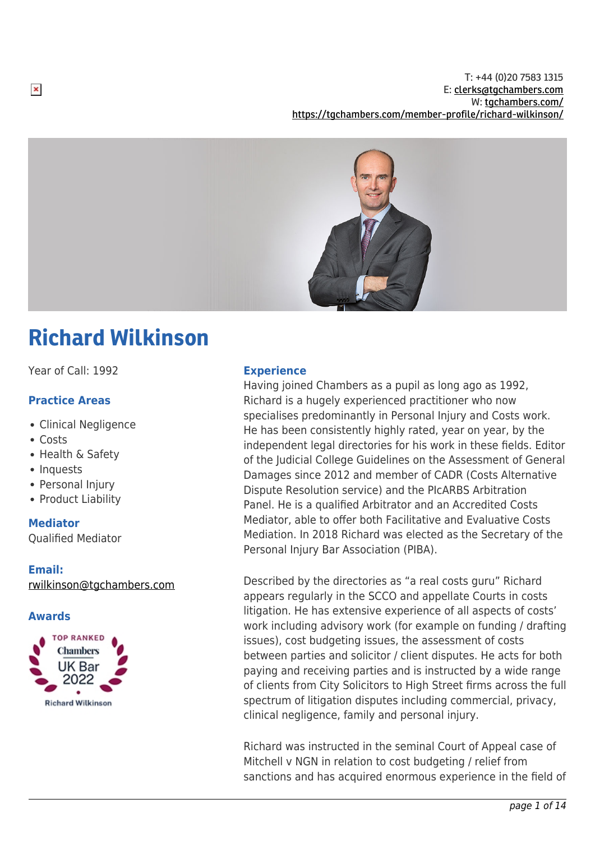T: +44 (0)20 7583 1315 E: [clerks@tgchambers.com](mailto:clerks@tgchambers.com) W: [tgchambers.com/](http://tgchambers.com/) <https://tgchambers.com/member-profile/richard-wilkinson/>



# Richard Wilkinson

Year of Call: 1992

## **Practice Areas**

- Clinical Negligence
- Costs
- Health & Safety
- Inquests
- Personal Injury
- Product Liability

## **Mediator**

Qualified Mediator

## **Email:**

[rwilkinson@tgchambers.com](mailto:rwilkinson@tgchambers.com)

## **Awards**



## **Experience**

Having joined Chambers as a pupil as long ago as 1992, Richard is a hugely experienced practitioner who now specialises predominantly in Personal Injury and Costs work. He has been consistently highly rated, year on year, by the independent legal directories for his work in these fields. Editor of the Judicial College Guidelines on the Assessment of General Damages since 2012 and member of CADR (Costs Alternative Dispute Resolution service) and the PIcARBS Arbitration Panel. He is a qualified Arbitrator and an Accredited Costs Mediator, able to offer both Facilitative and Evaluative Costs Mediation. In 2018 Richard was elected as the Secretary of the Personal Injury Bar Association (PIBA).

Described by the directories as "a real costs guru" Richard appears regularly in the SCCO and appellate Courts in costs litigation. He has extensive experience of all aspects of costs' work including advisory work (for example on funding / drafting issues), cost budgeting issues, the assessment of costs between parties and solicitor / client disputes. He acts for both paying and receiving parties and is instructed by a wide range of clients from City Solicitors to High Street firms across the full spectrum of litigation disputes including commercial, privacy, clinical negligence, family and personal injury.

Richard was instructed in the seminal Court of Appeal case of Mitchell v NGN in relation to cost budgeting / relief from sanctions and has acquired enormous experience in the field of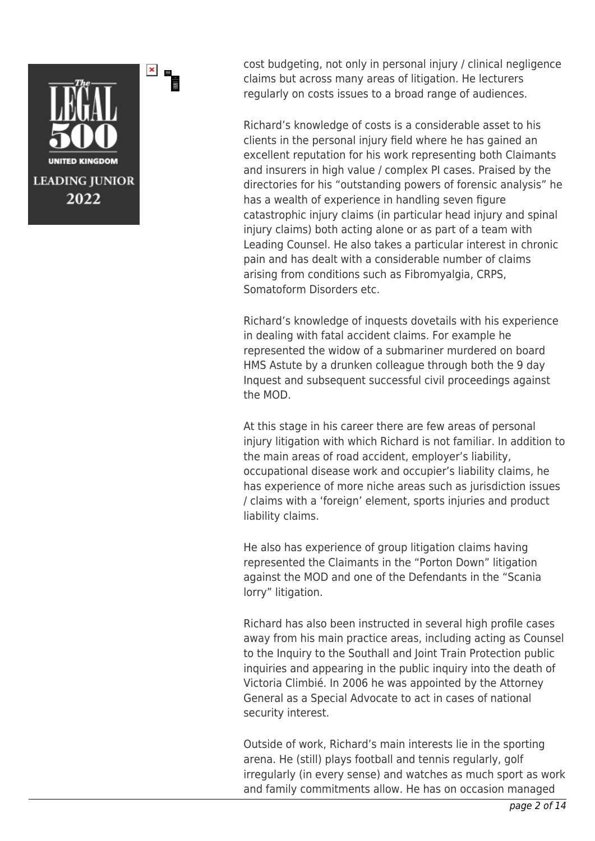

×

cost budgeting, not only in personal injury / clinical negligence claims but across many areas of litigation. He lecturers regularly on costs issues to a broad range of audiences.

Richard's knowledge of costs is a considerable asset to his clients in the personal injury field where he has gained an excellent reputation for his work representing both Claimants and insurers in high value / complex PI cases. Praised by the directories for his "outstanding powers of forensic analysis" he has a wealth of experience in handling seven figure catastrophic injury claims (in particular head injury and spinal injury claims) both acting alone or as part of a team with Leading Counsel. He also takes a particular interest in chronic pain and has dealt with a considerable number of claims arising from conditions such as Fibromyalgia, CRPS, Somatoform Disorders etc.

Richard's knowledge of inquests dovetails with his experience in dealing with fatal accident claims. For example he represented the widow of a submariner murdered on board HMS Astute by a drunken colleague through both the 9 day Inquest and subsequent successful civil proceedings against the MOD.

At this stage in his career there are few areas of personal injury litigation with which Richard is not familiar. In addition to the main areas of road accident, employer's liability, occupational disease work and occupier's liability claims, he has experience of more niche areas such as jurisdiction issues / claims with a 'foreign' element, sports injuries and product liability claims.

He also has experience of group litigation claims having represented the Claimants in the "Porton Down" litigation against the MOD and one of the Defendants in the "Scania lorry" litigation.

Richard has also been instructed in several high profile cases away from his main practice areas, including acting as Counsel to the Inquiry to the Southall and Joint Train Protection public inquiries and appearing in the public inquiry into the death of Victoria Climbié. In 2006 he was appointed by the Attorney General as a Special Advocate to act in cases of national security interest.

Outside of work, Richard's main interests lie in the sporting arena. He (still) plays football and tennis regularly, golf irregularly (in every sense) and watches as much sport as work and family commitments allow. He has on occasion managed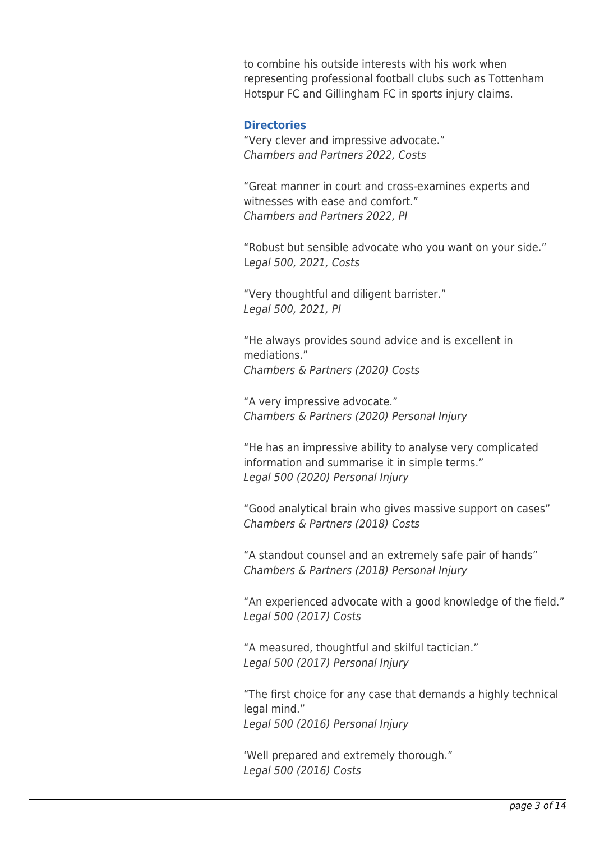to combine his outside interests with his work when representing professional football clubs such as Tottenham Hotspur FC and Gillingham FC in sports injury claims.

## **Directories**

"Very clever and impressive advocate." Chambers and Partners 2022, Costs

"Great manner in court and cross-examines experts and witnesses with ease and comfort." Chambers and Partners 2022, PI

"Robust but sensible advocate who you want on your side." Legal 500, 2021, Costs

"Very thoughtful and diligent barrister." Legal 500, 2021, PI

"He always provides sound advice and is excellent in mediations." Chambers & Partners (2020) Costs

"A very impressive advocate." Chambers & Partners (2020) Personal Injury

"He has an impressive ability to analyse very complicated information and summarise it in simple terms." Legal 500 (2020) Personal Injury

"Good analytical brain who gives massive support on cases" Chambers & Partners (2018) Costs

"A standout counsel and an extremely safe pair of hands" Chambers & Partners (2018) Personal Injury

"An experienced advocate with a good knowledge of the field." Legal 500 (2017) Costs

"A measured, thoughtful and skilful tactician." Legal 500 (2017) Personal Injury

"The first choice for any case that demands a highly technical legal mind." Legal 500 (2016) Personal Injury

'Well prepared and extremely thorough." Legal 500 (2016) Costs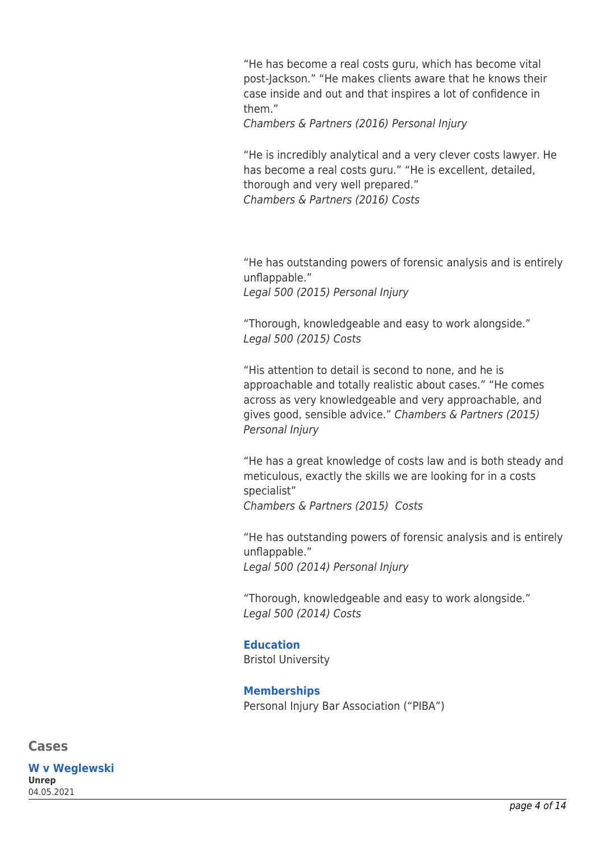"He has become a real costs guru, which has become vital post-Jackson." "He makes clients aware that he knows their case inside and out and that inspires a lot of confidence in them."

Chambers & Partners (2016) Personal Injury

"He is incredibly analytical and a very clever costs lawyer. He has become a real costs guru." "He is excellent, detailed, thorough and very well prepared." Chambers & Partners (2016) Costs

"He has outstanding powers of forensic analysis and is entirely unflappable." Legal 500 (2015) Personal Injury

"Thorough, knowledgeable and easy to work alongside." Legal 500 (2015) Costs

"His attention to detail is second to none, and he is approachable and totally realistic about cases." "He comes across as very knowledgeable and very approachable, and gives good, sensible advice." Chambers & Partners (2015) Personal Injury

"He has a great knowledge of costs law and is both steady and meticulous, exactly the skills we are looking for in a costs specialist" Chambers & Partners (2015) Costs

"He has outstanding powers of forensic analysis and is entirely unflappable." Legal 500 (2014) Personal Injury

"Thorough, knowledgeable and easy to work alongside." Legal 500 (2014) Costs

## **Education**

Bristol University

**Memberships** Personal Injury Bar Association ("PIBA")

**Cases**

**W v Weglewski Unrep** 04.05.2021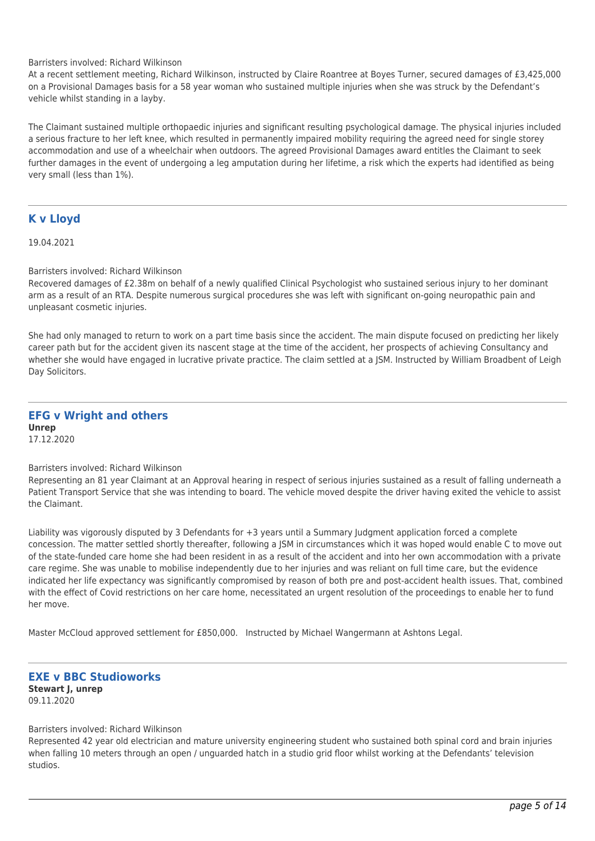Barristers involved: Richard Wilkinson

At a recent settlement meeting, Richard Wilkinson, instructed by Claire Roantree at Boyes Turner, secured damages of £3,425,000 on a Provisional Damages basis for a 58 year woman who sustained multiple injuries when she was struck by the Defendant's vehicle whilst standing in a layby.

The Claimant sustained multiple orthopaedic injuries and significant resulting psychological damage. The physical injuries included a serious fracture to her left knee, which resulted in permanently impaired mobility requiring the agreed need for single storey accommodation and use of a wheelchair when outdoors. The agreed Provisional Damages award entitles the Claimant to seek further damages in the event of undergoing a leg amputation during her lifetime, a risk which the experts had identified as being very small (less than 1%).

## **K v Lloyd**

19.04.2021

Barristers involved: Richard Wilkinson

Recovered damages of £2.38m on behalf of a newly qualified Clinical Psychologist who sustained serious injury to her dominant arm as a result of an RTA. Despite numerous surgical procedures she was left with significant on-going neuropathic pain and unpleasant cosmetic injuries.

She had only managed to return to work on a part time basis since the accident. The main dispute focused on predicting her likely career path but for the accident given its nascent stage at the time of the accident, her prospects of achieving Consultancy and whether she would have engaged in lucrative private practice. The claim settled at a JSM. Instructed by William Broadbent of Leigh Day Solicitors.

#### **EFG v Wright and others Unrep** 17.12.2020

#### Barristers involved: Richard Wilkinson

Representing an 81 year Claimant at an Approval hearing in respect of serious injuries sustained as a result of falling underneath a Patient Transport Service that she was intending to board. The vehicle moved despite the driver having exited the vehicle to assist the Claimant.

Liability was vigorously disputed by 3 Defendants for +3 years until a Summary Judgment application forced a complete concession. The matter settled shortly thereafter, following a JSM in circumstances which it was hoped would enable C to move out of the state-funded care home she had been resident in as a result of the accident and into her own accommodation with a private care regime. She was unable to mobilise independently due to her injuries and was reliant on full time care, but the evidence indicated her life expectancy was significantly compromised by reason of both pre and post-accident health issues. That, combined with the effect of Covid restrictions on her care home, necessitated an urgent resolution of the proceedings to enable her to fund her move.

Master McCloud approved settlement for £850,000. Instructed by Michael Wangermann at Ashtons Legal.

#### **EXE v BBC Studioworks Stewart J, unrep** 09.11.2020

#### Barristers involved: Richard Wilkinson

Represented 42 year old electrician and mature university engineering student who sustained both spinal cord and brain injuries when falling 10 meters through an open / unguarded hatch in a studio grid floor whilst working at the Defendants' television studios.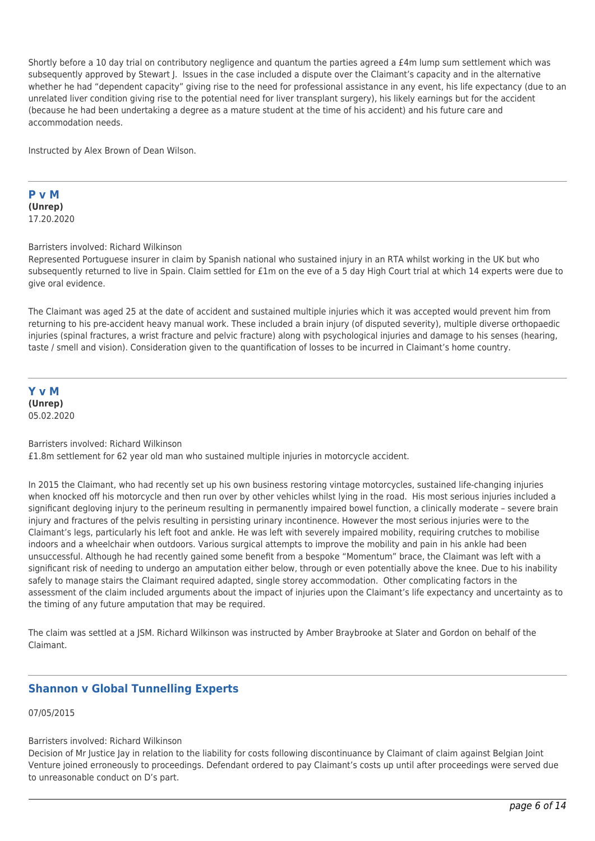Shortly before a 10 day trial on contributory negligence and quantum the parties agreed a £4m lump sum settlement which was subsequently approved by Stewart J. Issues in the case included a dispute over the Claimant's capacity and in the alternative whether he had "dependent capacity" giving rise to the need for professional assistance in any event, his life expectancy (due to an unrelated liver condition giving rise to the potential need for liver transplant surgery), his likely earnings but for the accident (because he had been undertaking a degree as a mature student at the time of his accident) and his future care and accommodation needs.

Instructed by Alex Brown of Dean Wilson.

**P v M (Unrep)** 17.20.2020

Barristers involved: Richard Wilkinson

Represented Portuguese insurer in claim by Spanish national who sustained injury in an RTA whilst working in the UK but who subsequently returned to live in Spain. Claim settled for £1m on the eve of a 5 day High Court trial at which 14 experts were due to give oral evidence.

The Claimant was aged 25 at the date of accident and sustained multiple injuries which it was accepted would prevent him from returning to his pre-accident heavy manual work. These included a brain injury (of disputed severity), multiple diverse orthopaedic injuries (spinal fractures, a wrist fracture and pelvic fracture) along with psychological injuries and damage to his senses (hearing, taste / smell and vision). Consideration given to the quantification of losses to be incurred in Claimant's home country.

**Y v M (Unrep)** 05.02.2020

Barristers involved: Richard Wilkinson £1.8m settlement for 62 year old man who sustained multiple injuries in motorcycle accident.

In 2015 the Claimant, who had recently set up his own business restoring vintage motorcycles, sustained life-changing injuries when knocked off his motorcycle and then run over by other vehicles whilst lying in the road. His most serious injuries included a significant degloving injury to the perineum resulting in permanently impaired bowel function, a clinically moderate – severe brain injury and fractures of the pelvis resulting in persisting urinary incontinence. However the most serious injuries were to the Claimant's legs, particularly his left foot and ankle. He was left with severely impaired mobility, requiring crutches to mobilise indoors and a wheelchair when outdoors. Various surgical attempts to improve the mobility and pain in his ankle had been unsuccessful. Although he had recently gained some benefit from a bespoke "Momentum" brace, the Claimant was left with a significant risk of needing to undergo an amputation either below, through or even potentially above the knee. Due to his inability safely to manage stairs the Claimant required adapted, single storey accommodation. Other complicating factors in the assessment of the claim included arguments about the impact of injuries upon the Claimant's life expectancy and uncertainty as to the timing of any future amputation that may be required.

The claim was settled at a JSM. Richard Wilkinson was instructed by Amber Braybrooke at Slater and Gordon on behalf of the Claimant.

## **Shannon v Global Tunnelling Experts**

07/05/2015

#### Barristers involved: Richard Wilkinson

Decision of Mr Justice Jay in relation to the liability for costs following discontinuance by Claimant of claim against Belgian Joint Venture joined erroneously to proceedings. Defendant ordered to pay Claimant's costs up until after proceedings were served due to unreasonable conduct on D's part.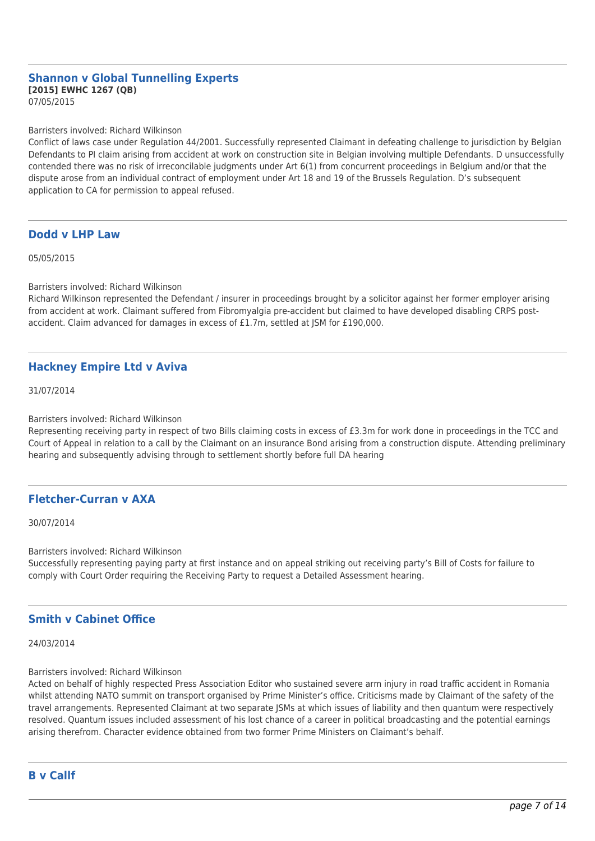## **Shannon v Global Tunnelling Experts [2015] EWHC 1267 (QB)**

07/05/2015

#### Barristers involved: Richard Wilkinson

Conflict of laws case under Regulation 44/2001. Successfully represented Claimant in defeating challenge to jurisdiction by Belgian Defendants to PI claim arising from accident at work on construction site in Belgian involving multiple Defendants. D unsuccessfully contended there was no risk of irreconcilable judgments under Art 6(1) from concurrent proceedings in Belgium and/or that the dispute arose from an individual contract of employment under Art 18 and 19 of the Brussels Regulation. D's subsequent application to CA for permission to appeal refused.

## **Dodd v LHP Law**

05/05/2015

Barristers involved: Richard Wilkinson

Richard Wilkinson represented the Defendant / insurer in proceedings brought by a solicitor against her former employer arising from accident at work. Claimant suffered from Fibromyalgia pre-accident but claimed to have developed disabling CRPS postaccident. Claim advanced for damages in excess of £1.7m, settled at JSM for £190,000.

## **Hackney Empire Ltd v Aviva**

31/07/2014

Barristers involved: Richard Wilkinson

Representing receiving party in respect of two Bills claiming costs in excess of £3.3m for work done in proceedings in the TCC and Court of Appeal in relation to a call by the Claimant on an insurance Bond arising from a construction dispute. Attending preliminary hearing and subsequently advising through to settlement shortly before full DA hearing

## **Fletcher-Curran v AXA**

30/07/2014

Barristers involved: Richard Wilkinson

Successfully representing paying party at first instance and on appeal striking out receiving party's Bill of Costs for failure to comply with Court Order requiring the Receiving Party to request a Detailed Assessment hearing.

## **Smith v Cabinet Office**

24/03/2014

#### Barristers involved: Richard Wilkinson

Acted on behalf of highly respected Press Association Editor who sustained severe arm injury in road traffic accident in Romania whilst attending NATO summit on transport organised by Prime Minister's office. Criticisms made by Claimant of the safety of the travel arrangements. Represented Claimant at two separate JSMs at which issues of liability and then quantum were respectively resolved. Quantum issues included assessment of his lost chance of a career in political broadcasting and the potential earnings arising therefrom. Character evidence obtained from two former Prime Ministers on Claimant's behalf.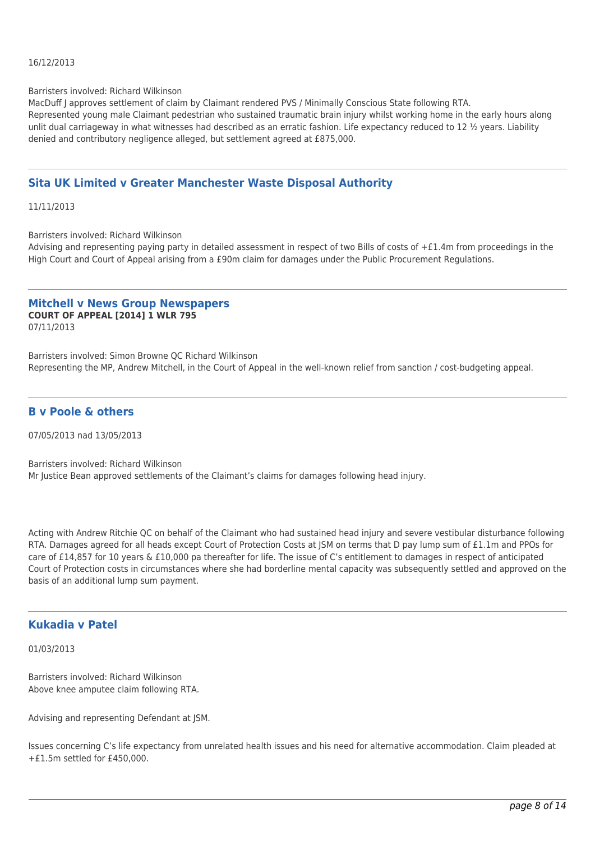#### 16/12/2013

#### Barristers involved: Richard Wilkinson

MacDuff J approves settlement of claim by Claimant rendered PVS / Minimally Conscious State following RTA. Represented young male Claimant pedestrian who sustained traumatic brain injury whilst working home in the early hours along unlit dual carriageway in what witnesses had described as an erratic fashion. Life expectancy reduced to 12  $\frac{1}{2}$  years. Liability denied and contributory negligence alleged, but settlement agreed at £875,000.

## **Sita UK Limited v Greater Manchester Waste Disposal Authority**

11/11/2013

Barristers involved: Richard Wilkinson

Advising and representing paying party in detailed assessment in respect of two Bills of costs of +£1.4m from proceedings in the High Court and Court of Appeal arising from a £90m claim for damages under the Public Procurement Regulations.

#### **Mitchell v News Group Newspapers COURT OF APPEAL [2014] 1 WLR 795** 07/11/2013

Barristers involved: Simon Browne QC Richard Wilkinson Representing the MP, Andrew Mitchell, in the Court of Appeal in the well-known relief from sanction / cost-budgeting appeal.

## **B v Poole & others**

07/05/2013 nad 13/05/2013

Barristers involved: Richard Wilkinson Mr Justice Bean approved settlements of the Claimant's claims for damages following head injury.

Acting with Andrew Ritchie QC on behalf of the Claimant who had sustained head injury and severe vestibular disturbance following RTA. Damages agreed for all heads except Court of Protection Costs at JSM on terms that D pay lump sum of £1.1m and PPOs for care of £14,857 for 10 years & £10,000 pa thereafter for life. The issue of C's entitlement to damages in respect of anticipated Court of Protection costs in circumstances where she had borderline mental capacity was subsequently settled and approved on the basis of an additional lump sum payment.

## **Kukadia v Patel**

#### 01/03/2013

Barristers involved: Richard Wilkinson Above knee amputee claim following RTA.

Advising and representing Defendant at JSM.

Issues concerning C's life expectancy from unrelated health issues and his need for alternative accommodation. Claim pleaded at +£1.5m settled for £450,000.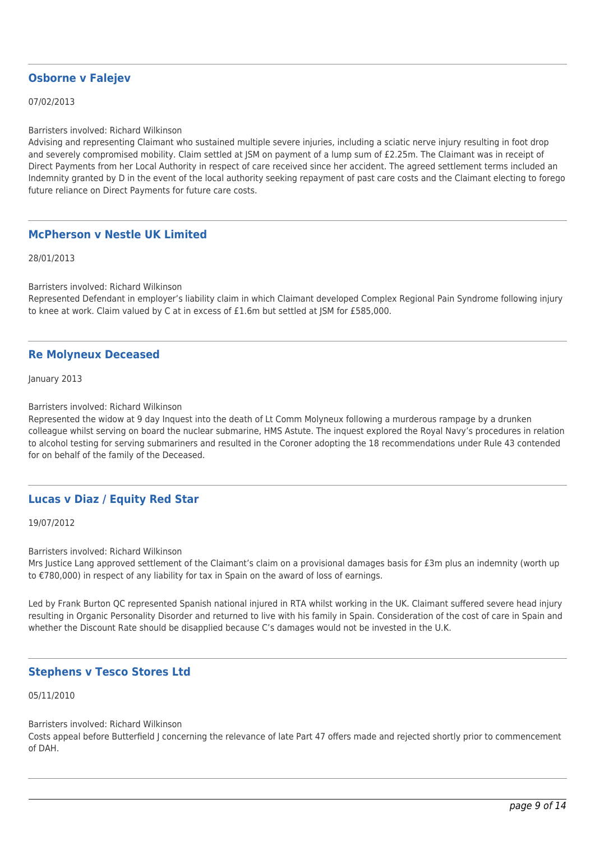## **Osborne v Falejev**

07/02/2013

Barristers involved: Richard Wilkinson

Advising and representing Claimant who sustained multiple severe injuries, including a sciatic nerve injury resulting in foot drop and severely compromised mobility. Claim settled at JSM on payment of a lump sum of £2.25m. The Claimant was in receipt of Direct Payments from her Local Authority in respect of care received since her accident. The agreed settlement terms included an Indemnity granted by D in the event of the local authority seeking repayment of past care costs and the Claimant electing to forego future reliance on Direct Payments for future care costs.

## **McPherson v Nestle UK Limited**

28/01/2013

Barristers involved: Richard Wilkinson

Represented Defendant in employer's liability claim in which Claimant developed Complex Regional Pain Syndrome following injury to knee at work. Claim valued by C at in excess of £1.6m but settled at JSM for £585,000.

## **Re Molyneux Deceased**

January 2013

Barristers involved: Richard Wilkinson

Represented the widow at 9 day Inquest into the death of Lt Comm Molyneux following a murderous rampage by a drunken colleague whilst serving on board the nuclear submarine, HMS Astute. The inquest explored the Royal Navy's procedures in relation to alcohol testing for serving submariners and resulted in the Coroner adopting the 18 recommendations under Rule 43 contended for on behalf of the family of the Deceased.

## **Lucas v Diaz / Equity Red Star**

19/07/2012

Barristers involved: Richard Wilkinson

Mrs Justice Lang approved settlement of the Claimant's claim on a provisional damages basis for £3m plus an indemnity (worth up to €780,000) in respect of any liability for tax in Spain on the award of loss of earnings.

Led by Frank Burton QC represented Spanish national injured in RTA whilst working in the UK. Claimant suffered severe head injury resulting in Organic Personality Disorder and returned to live with his family in Spain. Consideration of the cost of care in Spain and whether the Discount Rate should be disapplied because C's damages would not be invested in the U.K.

## **Stephens v Tesco Stores Ltd**

05/11/2010

Barristers involved: Richard Wilkinson

Costs appeal before Butterfield J concerning the relevance of late Part 47 offers made and rejected shortly prior to commencement of DAH.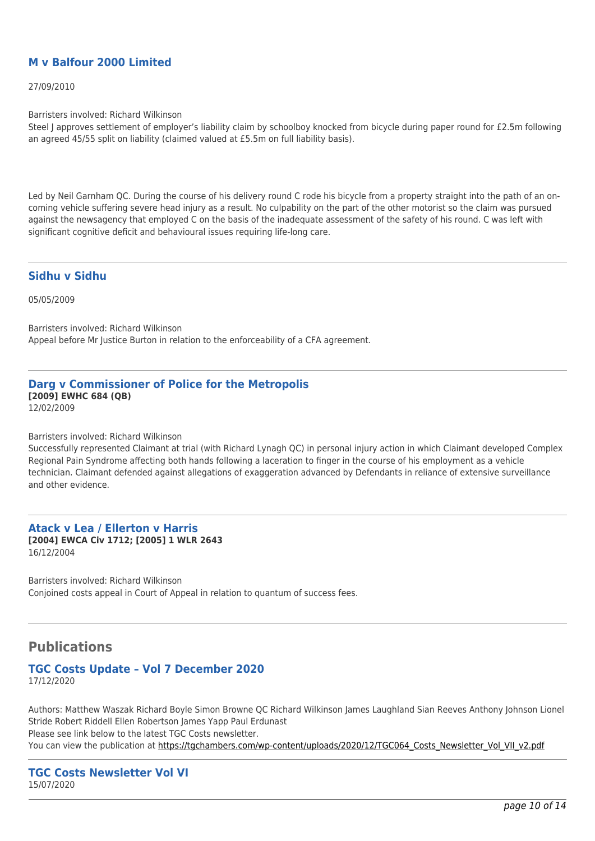## **M v Balfour 2000 Limited**

27/09/2010

Barristers involved: Richard Wilkinson

Steel J approves settlement of employer's liability claim by schoolboy knocked from bicycle during paper round for £2.5m following an agreed 45/55 split on liability (claimed valued at £5.5m on full liability basis).

Led by Neil Garnham QC. During the course of his delivery round C rode his bicycle from a property straight into the path of an oncoming vehicle suffering severe head injury as a result. No culpability on the part of the other motorist so the claim was pursued against the newsagency that employed C on the basis of the inadequate assessment of the safety of his round. C was left with significant cognitive deficit and behavioural issues requiring life-long care.

## **Sidhu v Sidhu**

05/05/2009

Barristers involved: Richard Wilkinson Appeal before Mr Justice Burton in relation to the enforceability of a CFA agreement.

#### **Darg v Commissioner of Police for the Metropolis [2009] EWHC 684 (QB)** 12/02/2009

Barristers involved: Richard Wilkinson

Successfully represented Claimant at trial (with Richard Lynagh QC) in personal injury action in which Claimant developed Complex Regional Pain Syndrome affecting both hands following a laceration to finger in the course of his employment as a vehicle technician. Claimant defended against allegations of exaggeration advanced by Defendants in reliance of extensive surveillance and other evidence.

#### **Atack v Lea / Ellerton v Harris [2004] EWCA Civ 1712; [2005] 1 WLR 2643** 16/12/2004

Barristers involved: Richard Wilkinson Conjoined costs appeal in Court of Appeal in relation to quantum of success fees.

## **Publications**

## **TGC Costs Update – Vol 7 December 2020**

17/12/2020

Authors: Matthew Waszak Richard Boyle Simon Browne QC Richard Wilkinson James Laughland Sian Reeves Anthony Johnson Lionel Stride Robert Riddell Ellen Robertson James Yapp Paul Erdunast Please see link below to the latest TGC Costs newsletter. You can view the publication at [https://tgchambers.com/wp-content/uploads/2020/12/TGC064\\_Costs\\_Newsletter\\_Vol\\_VII\\_v2.pdf](https://tgchambers.com/wp-content/uploads/2020/12/TGC064_Costs_Newsletter_Vol_VII_v2.pdf)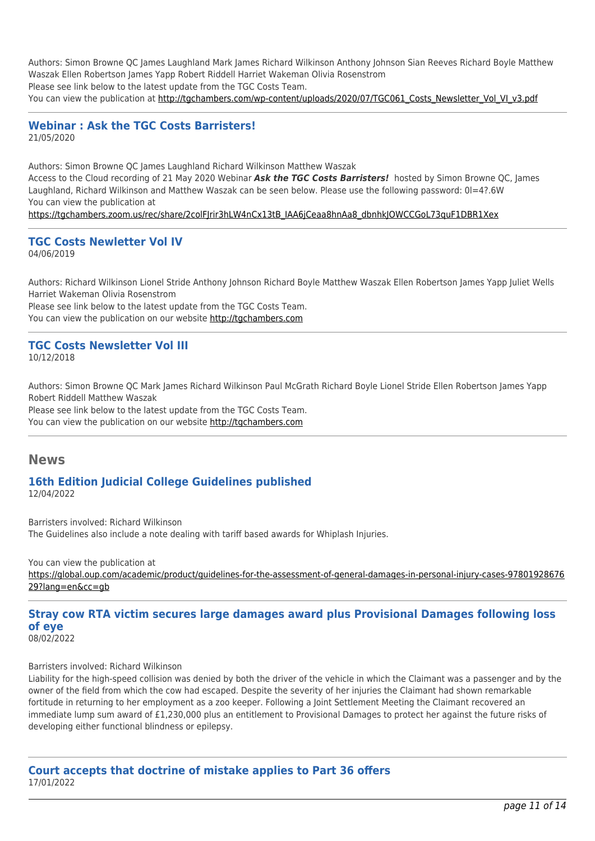Authors: Simon Browne QC James Laughland Mark James Richard Wilkinson Anthony Johnson Sian Reeves Richard Boyle Matthew Waszak Ellen Robertson James Yapp Robert Riddell Harriet Wakeman Olivia Rosenstrom Please see link below to the latest update from the TGC Costs Team. You can view the publication at [http://tgchambers.com/wp-content/uploads/2020/07/TGC061\\_Costs\\_Newsletter\\_Vol\\_VI\\_v3.pdf](http://tgchambers.com/wp-content/uploads/2020/07/TGC061_Costs_Newsletter_Vol_VI_v3.pdf)

## **Webinar : Ask the TGC Costs Barristers!** 21/05/2020

Authors: Simon Browne QC James Laughland Richard Wilkinson Matthew Waszak Access to the Cloud recording of 21 May 2020 Webinar *Ask the TGC Costs Barristers!* hosted by Simon Browne QC, James Laughland, Richard Wilkinson and Matthew Waszak can be seen below. Please use the following password: 0l=4?.6W You can view the publication at [https://tgchambers.zoom.us/rec/share/2colFJrir3hLW4nCx13tB\\_IAA6jCeaa8hnAa8\\_dbnhkJOWCCGoL73quF1DBR1Xex](https://tgchambers.zoom.us/rec/share/2colFJrir3hLW4nCx13tB_IAA6jCeaa8hnAa8_dbnhkJOWCCGoL73quF1DBR1Xex)

#### **TGC Costs Newletter Vol IV** 04/06/2019

Authors: Richard Wilkinson Lionel Stride Anthony Johnson Richard Boyle Matthew Waszak Ellen Robertson James Yapp Juliet Wells Harriet Wakeman Olivia Rosenstrom Please see link below to the latest update from the TGC Costs Team.

You can view the publication on our website [http://tgchambers.com](https://tgchambers.com/wp-content/uploads/2019/06/TGC047_Costs_Newsletter_Vol_IV_v5b.pdf)

## **TGC Costs Newsletter Vol III**

10/12/2018

Authors: Simon Browne QC Mark James Richard Wilkinson Paul McGrath Richard Boyle Lionel Stride Ellen Robertson James Yapp Robert Riddell Matthew Waszak

Please see link below to the latest update from the TGC Costs Team. You can view the publication on our website [http://tgchambers.com](https://tgchambers.com/wp-content/uploads/2018/12/TGC043_Costs_Newsletter_Vol_III_v4.1.pdf)

## **News**

## **16th Edition Judicial College Guidelines published** 12/04/2022

Barristers involved: Richard Wilkinson The Guidelines also include a note dealing with tariff based awards for Whiplash Injuries.

You can view the publication at

[https://global.oup.com/academic/product/guidelines-for-the-assessment-of-general-damages-in-personal-injury-cases-97801928676](https://global.oup.com/academic/product/guidelines-for-the-assessment-of-general-damages-in-personal-injury-cases-9780192867629?lang=en&cc=gb) [29?lang=en&cc=gb](https://global.oup.com/academic/product/guidelines-for-the-assessment-of-general-damages-in-personal-injury-cases-9780192867629?lang=en&cc=gb)

#### **Stray cow RTA victim secures large damages award plus Provisional Damages following loss of eye** 08/02/2022

Barristers involved: Richard Wilkinson

Liability for the high-speed collision was denied by both the driver of the vehicle in which the Claimant was a passenger and by the owner of the field from which the cow had escaped. Despite the severity of her injuries the Claimant had shown remarkable fortitude in returning to her employment as a zoo keeper. Following a Joint Settlement Meeting the Claimant recovered an immediate lump sum award of £1,230,000 plus an entitlement to Provisional Damages to protect her against the future risks of developing either functional blindness or epilepsy.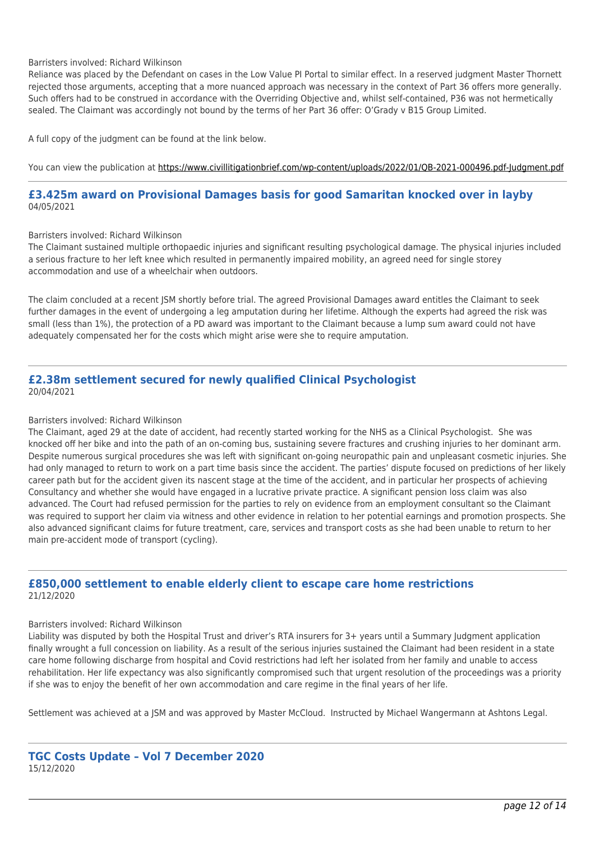#### Barristers involved: Richard Wilkinson

Reliance was placed by the Defendant on cases in the Low Value PI Portal to similar effect. In a reserved judgment Master Thornett rejected those arguments, accepting that a more nuanced approach was necessary in the context of Part 36 offers more generally. Such offers had to be construed in accordance with the Overriding Objective and, whilst self-contained, P36 was not hermetically sealed. The Claimant was accordingly not bound by the terms of her Part 36 offer: O'Grady v B15 Group Limited.

A full copy of the judgment can be found at the link below.

You can view the publication at<https://www.civillitigationbrief.com/wp-content/uploads/2022/01/QB-2021-000496.pdf-Judgment.pdf>

## **£3.425m award on Provisional Damages basis for good Samaritan knocked over in layby** 04/05/2021

#### Barristers involved: Richard Wilkinson

The Claimant sustained multiple orthopaedic injuries and significant resulting psychological damage. The physical injuries included a serious fracture to her left knee which resulted in permanently impaired mobility, an agreed need for single storey accommodation and use of a wheelchair when outdoors.

The claim concluded at a recent JSM shortly before trial. The agreed Provisional Damages award entitles the Claimant to seek further damages in the event of undergoing a leg amputation during her lifetime. Although the experts had agreed the risk was small (less than 1%), the protection of a PD award was important to the Claimant because a lump sum award could not have adequately compensated her for the costs which might arise were she to require amputation.

## **£2.38m settlement secured for newly qualified Clinical Psychologist** 20/04/2021

#### Barristers involved: Richard Wilkinson

The Claimant, aged 29 at the date of accident, had recently started working for the NHS as a Clinical Psychologist. She was knocked off her bike and into the path of an on-coming bus, sustaining severe fractures and crushing injuries to her dominant arm. Despite numerous surgical procedures she was left with significant on-going neuropathic pain and unpleasant cosmetic injuries. She had only managed to return to work on a part time basis since the accident. The parties' dispute focused on predictions of her likely career path but for the accident given its nascent stage at the time of the accident, and in particular her prospects of achieving Consultancy and whether she would have engaged in a lucrative private practice. A significant pension loss claim was also advanced. The Court had refused permission for the parties to rely on evidence from an employment consultant so the Claimant was required to support her claim via witness and other evidence in relation to her potential earnings and promotion prospects. She also advanced significant claims for future treatment, care, services and transport costs as she had been unable to return to her main pre-accident mode of transport (cycling).

## **£850,000 settlement to enable elderly client to escape care home restrictions** 21/12/2020

#### Barristers involved: Richard Wilkinson

Liability was disputed by both the Hospital Trust and driver's RTA insurers for 3+ years until a Summary Judgment application finally wrought a full concession on liability. As a result of the serious injuries sustained the Claimant had been resident in a state care home following discharge from hospital and Covid restrictions had left her isolated from her family and unable to access rehabilitation. Her life expectancy was also significantly compromised such that urgent resolution of the proceedings was a priority if she was to enjoy the benefit of her own accommodation and care regime in the final years of her life.

Settlement was achieved at a JSM and was approved by Master McCloud. Instructed by Michael Wangermann at Ashtons Legal.

## **TGC Costs Update – Vol 7 December 2020** 15/12/2020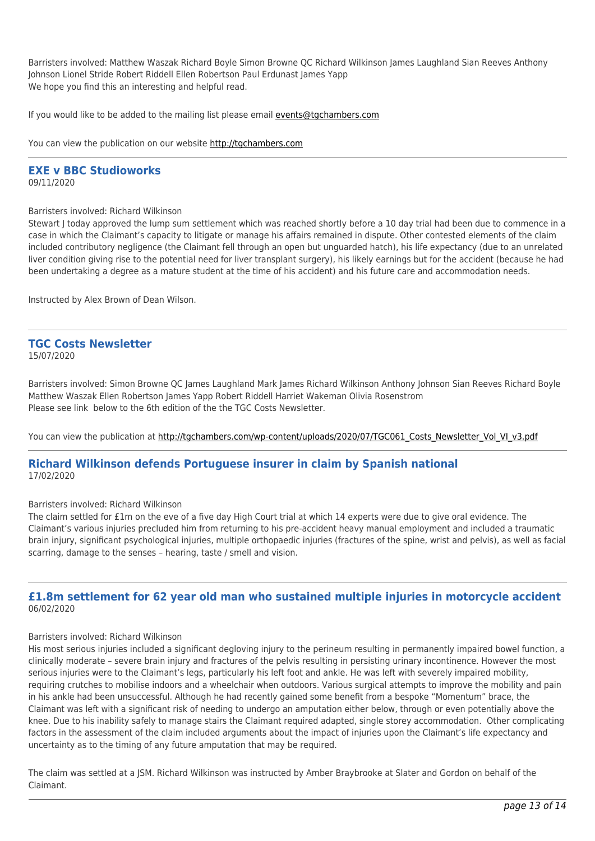Barristers involved: Matthew Waszak Richard Boyle Simon Browne QC Richard Wilkinson James Laughland Sian Reeves Anthony Johnson Lionel Stride Robert Riddell Ellen Robertson Paul Erdunast James Yapp We hope you find this an interesting and helpful read.

If you would like to be added to the mailing list please email [events@tgchambers.com](mailto:events@tgchambers.com)

You can view the publication on our website [http://tgchambers.com](https://tgchambers.com/wp-content/uploads/2020/12/TGC064_Costs_Newsletter_Vol_VII_v2.pdf)

## **EXE v BBC Studioworks**

09/11/2020

Barristers involved: Richard Wilkinson

Stewart J today approved the lump sum settlement which was reached shortly before a 10 day trial had been due to commence in a case in which the Claimant's capacity to litigate or manage his affairs remained in dispute. Other contested elements of the claim included contributory negligence (the Claimant fell through an open but unguarded hatch), his life expectancy (due to an unrelated liver condition giving rise to the potential need for liver transplant surgery), his likely earnings but for the accident (because he had been undertaking a degree as a mature student at the time of his accident) and his future care and accommodation needs.

Instructed by Alex Brown of Dean Wilson.

#### **TGC Costs Newsletter** 15/07/2020

Barristers involved: Simon Browne QC James Laughland Mark James Richard Wilkinson Anthony Johnson Sian Reeves Richard Boyle Matthew Waszak Ellen Robertson James Yapp Robert Riddell Harriet Wakeman Olivia Rosenstrom Please see link below to the 6th edition of the the TGC Costs Newsletter.

You can view the publication at [http://tgchambers.com/wp-content/uploads/2020/07/TGC061\\_Costs\\_Newsletter\\_Vol\\_VI\\_v3.pdf](http://tgchambers.com/wp-content/uploads/2020/07/TGC061_Costs_Newsletter_Vol_VI_v3.pdf)

## **Richard Wilkinson defends Portuguese insurer in claim by Spanish national** 17/02/2020

#### Barristers involved: Richard Wilkinson

The claim settled for £1m on the eve of a five day High Court trial at which 14 experts were due to give oral evidence. The Claimant's various injuries precluded him from returning to his pre-accident heavy manual employment and included a traumatic brain injury, significant psychological injuries, multiple orthopaedic injuries (fractures of the spine, wrist and pelvis), as well as facial scarring, damage to the senses – hearing, taste / smell and vision.

## **£1.8m settlement for 62 year old man who sustained multiple injuries in motorcycle accident** 06/02/2020

#### Barristers involved: Richard Wilkinson

His most serious injuries included a significant degloving injury to the perineum resulting in permanently impaired bowel function, a clinically moderate – severe brain injury and fractures of the pelvis resulting in persisting urinary incontinence. However the most serious injuries were to the Claimant's legs, particularly his left foot and ankle. He was left with severely impaired mobility, requiring crutches to mobilise indoors and a wheelchair when outdoors. Various surgical attempts to improve the mobility and pain in his ankle had been unsuccessful. Although he had recently gained some benefit from a bespoke "Momentum" brace, the Claimant was left with a significant risk of needing to undergo an amputation either below, through or even potentially above the knee. Due to his inability safely to manage stairs the Claimant required adapted, single storey accommodation. Other complicating factors in the assessment of the claim included arguments about the impact of injuries upon the Claimant's life expectancy and uncertainty as to the timing of any future amputation that may be required.

The claim was settled at a JSM. Richard Wilkinson was instructed by Amber Braybrooke at Slater and Gordon on behalf of the Claimant.